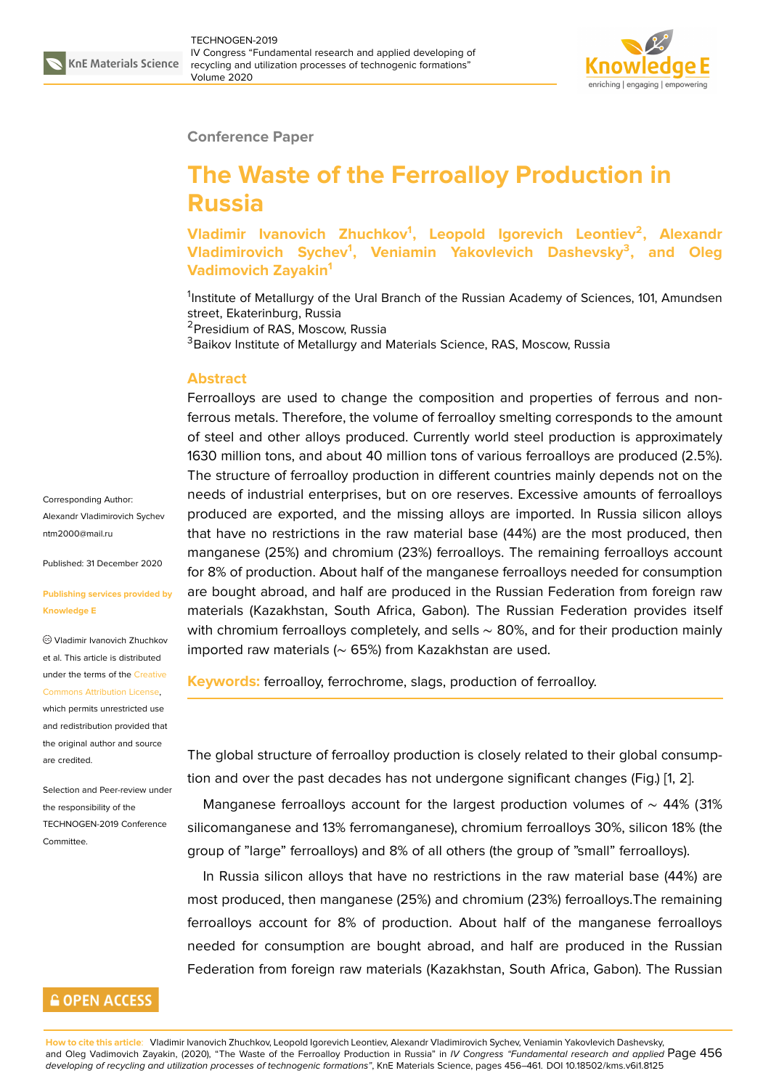

## **Conference Paper**

# **The Waste of the Ferroalloy Production in Russia**

**Vladimir Ivanovich Zhuchkov<sup>1</sup> , Leopold Igorevich Leontiev<sup>2</sup> , Alexandr Vladimirovich Sychev<sup>1</sup> , Veniamin Yakovlevich Dashevsky<sup>3</sup> , and Oleg Vadimovich Zayakin<sup>1</sup>**

<sup>1</sup>Institute of Metallurgy of the Ural Branch of the Russian Academy of Sciences, 101, Amundsen street, Ekaterinburg, Russia

<sup>2</sup>Presidium of RAS, Moscow, Russia

<sup>3</sup>Baikov Institute of Metallurgy and Materials Science, RAS, Moscow, Russia

### **Abstract**

Ferroalloys are used to change the composition and properties of ferrous and nonferrous metals. Therefore, the volume of ferroalloy smelting corresponds to the amount of steel and other alloys produced. Currently world steel production is approximately 1630 million tons, and about 40 million tons of various ferroalloys are produced (2.5%). The structure of ferroalloy production in different countries mainly depends not on the needs of industrial enterprises, but on ore reserves. Excessive amounts of ferroalloys produced are exported, and the missing alloys are imported. In Russia silicon alloys that have no restrictions in the raw material base (44%) are the most produced, then manganese (25%) and chromium (23%) ferroalloys. The remaining ferroalloys account for 8% of production. About half of the manganese ferroalloys needed for consumption are bought abroad, and half are produced in the Russian Federation from foreign raw materials (Kazakhstan, South Africa, Gabon). The Russian Federation provides itself with chromium ferroalloys completely, and sells  $\sim$  80%, and for their production mainly imported raw materials (∼ 65%) from Kazakhstan are used.

**Keywords:** ferroalloy, ferrochrome, slags, production of ferroalloy.

The global structure of ferroalloy production is closely related to their global consumption and over the past decades has not undergone significant changes (Fig.) [1, 2].

Manganese ferroalloys account for the largest production volumes of ~ 44% (31% silicomanganese and 13% ferromanganese), chromium ferroalloys 30%, silicon 18% (the group of "large" ferroalloys) and 8% of all others (the group of "small" ferroall[oy](#page-4-0)[s\).](#page-4-1)

In Russia silicon alloys that have no restrictions in the raw material base (44%) are most produced, then manganese (25%) and chromium (23%) ferroalloys.The remaining ferroalloys account for 8% of production. About half of the manganese ferroalloys needed for consumption are bought abroad, and half are produced in the Russian Federation from foreign raw materials (Kazakhstan, South Africa, Gabon). The Russian

Corresponding Author: Alexandr Vladimirovich Sychev ntm2000@mail.ru

Published: 31 December 2020

#### **[Publishing service](mailto:ntm2000@mail.ru)s provided by Knowledge E**

Vladimir Ivanovich Zhuchkov et al. This article is distributed under the terms of the Creative Commons Attribution License,

which permits unrestricted use and redistribution provided that the original author and [source](https://creativecommons.org/licenses/by/4.0/) [are credited.](https://creativecommons.org/licenses/by/4.0/)

Selection and Peer-review under the responsibility of the TECHNOGEN-2019 Conference Committee.

## **GOPEN ACCESS**

**How to cite this article**: Vladimir Ivanovich Zhuchkov, Leopold Igorevich Leontiev, Alexandr Vladimirovich Sychev, Veniamin Yakovlevich Dashevsky, and Oleg Vadimovich Zayakin, (2020), "The Waste of the Ferroalloy Production in Russia" in *IV Congress "Fundamental research and applied* Page 456 *developing of recycling and utilization processes of technogenic formations"*, KnE Materials Science, pages 456–461. DOI 10.18502/kms.v6i1.8125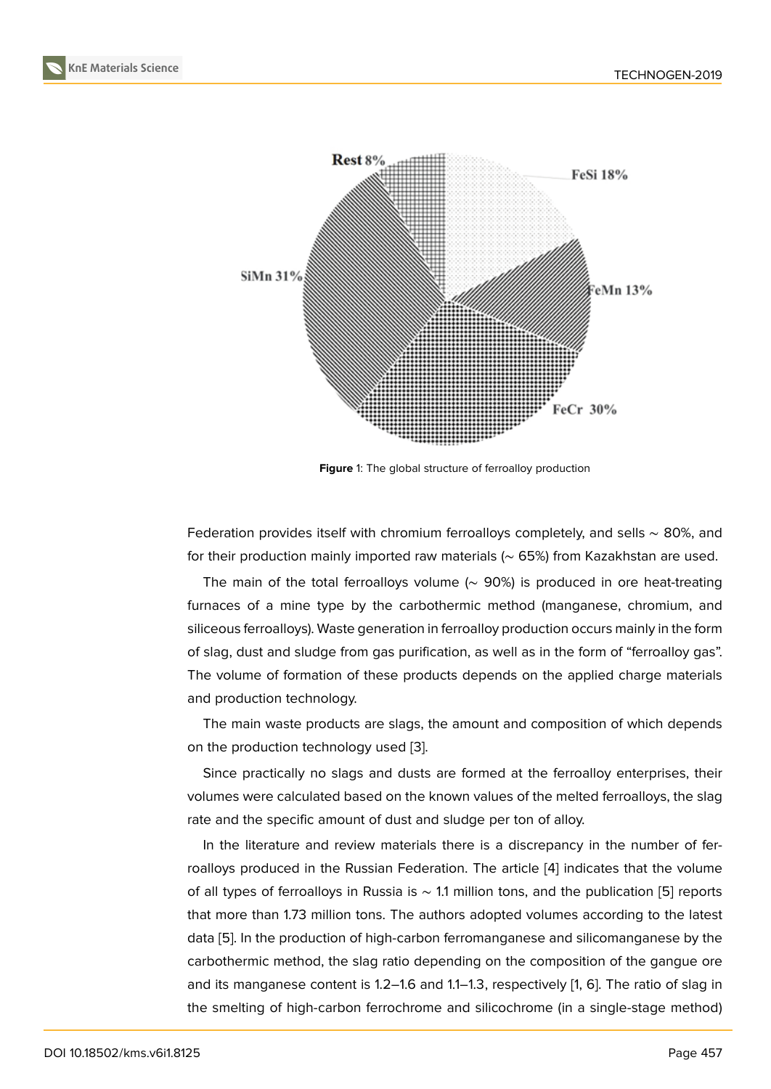

**Figure** 1: The global structure of ferroalloy production

Federation provides itself with chromium ferroalloys completely, and sells ∼ 80%, and for their production mainly imported raw materials (∼ 65%) from Kazakhstan are used.

The main of the total ferroalloys volume (∼ 90%) is produced in ore heat-treating furnaces of a mine type by the carbothermic method (manganese, chromium, and siliceous ferroalloys). Waste generation in ferroalloy production occurs mainly in the form of slag, dust and sludge from gas purification, as well as in the form of "ferroalloy gas". The volume of formation of these products depends on the applied charge materials and production technology.

The main waste products are slags, the amount and composition of which depends on the production technology used [3].

Since practically no slags and dusts are formed at the ferroalloy enterprises, their volumes were calculated based on the known values of the melted ferroalloys, the slag rate and the specific amount of dust [a](#page-4-2)nd sludge per ton of alloy.

In the literature and review materials there is a discrepancy in the number of ferroalloys produced in the Russian Federation. The article [4] indicates that the volume of all types of ferroalloys in Russia is ∼ 1.1 million tons, and the publication [5] reports that more than 1.73 million tons. The authors adopted volumes according to the latest data [5]. In the production of high-carbon ferromanganese [a](#page-4-3)nd silicomanganese by the carbothermic method, the slag ratio depending on the composition of the g[an](#page-4-4)gue ore and its manganese content is 1.2–1.6 and 1.1–1.3, respectively [1, 6]. The ratio of slag in the s[m](#page-4-4)elting of high-carbon ferrochrome and silicochrome (in a single-stage method)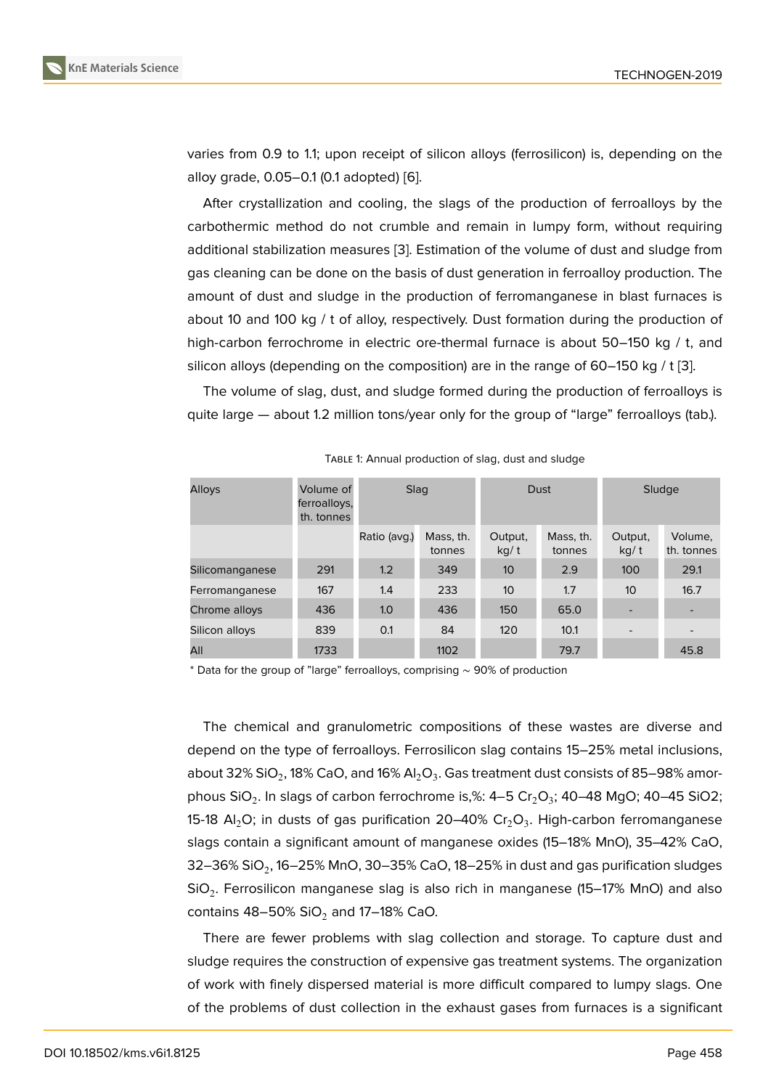varies from 0.9 to 1.1; upon receipt of silicon alloys (ferrosilicon) is, depending on the alloy grade, 0.05–0.1 (0.1 adopted) [6].

After crystallization and cooling, the slags of the production of ferroalloys by the carbothermic method do not crumble and remain in lumpy form, without requiring additional stabilization measures [3[\].](#page-4-5) Estimation of the volume of dust and sludge from gas cleaning can be done on the basis of dust generation in ferroalloy production. The amount of dust and sludge in the production of ferromanganese in blast furnaces is about 10 and 100 kg / t of alloy, r[es](#page-4-2)pectively. Dust formation during the production of high-carbon ferrochrome in electric ore-thermal furnace is about 50–150 kg / t, and silicon alloys (depending on the composition) are in the range of 60–150 kg / t [3].

The volume of slag, dust, and sludge formed during the production of ferroalloys is quite large — about 1.2 million tons/year only for the group of "large" ferroalloys (tab.).

| <b>Alloys</b>   | Volume of<br>ferroalloys,<br>th. tonnes | Slag         |                     | Dust            |                     | Sludge          |                          |
|-----------------|-----------------------------------------|--------------|---------------------|-----------------|---------------------|-----------------|--------------------------|
|                 |                                         | Ratio (avg.) | Mass, th.<br>tonnes | Output,<br>kq/t | Mass, th.<br>tonnes | Output,<br>kg/t | Volume,<br>th. tonnes    |
| Silicomanganese | 291                                     | 1.2          | 349                 | 10 <sup>1</sup> | 2.9                 | 100             | 29.1                     |
| Ferromanganese  | 167                                     | 1.4          | 233                 | 10 <sup>1</sup> | 1.7                 | 10              | 16.7                     |
| Chrome alloys   | 436                                     | 1.0          | 436                 | 150             | 65.0                |                 | -                        |
| Silicon alloys  | 839                                     | 0.1          | 84                  | 120             | 10.1                |                 | $\overline{\phantom{0}}$ |
| All             | 1733                                    |              | 1102                |                 | 79.7                |                 | 45.8                     |

TABLE 1: Annual production of slag, dust and sludge

\* Data for the group of "large" ferroalloys, comprising ∼ 90% of production

The chemical and granulometric compositions of these wastes are diverse and depend on the type of ferroalloys. Ferrosilicon slag contains 15–25% metal inclusions, about 32% SiO $_{\rm 2}$ , 18% CaO, and 16% Al $_{\rm 2}$ O $_{\rm 3}$ . Gas treatment dust consists of 85–98% amorphous SiO $_2$ . In slags of carbon ferrochrome is,%: 4–5 Cr $_2$ O $_3$ ; 40–48 MgO; 40–45 SiO2; 15-18 Al $_2$ O; in dusts of gas purification 20–40% Cr $_2$ O $_3$ . High-carbon ferromanganese slags contain a significant amount of manganese oxides (15–18% MnO), 35–42% CaO, 32–36% SiO $_{\rm 2}$ , 16–25% MnO, 30–35% CaO, 18–25% in dust and gas purification sludges SiO $_2$ . Ferrosilicon manganese slag is also rich in manganese (15–17% MnO) and also contains 48–50% SiO<sub>2</sub> and 17–18% CaO.

There are fewer problems with slag collection and storage. To capture dust and sludge requires the construction of expensive gas treatment systems. The organization of work with finely dispersed material is more difficult compared to lumpy slags. One of the problems of dust collection in the exhaust gases from furnaces is a significant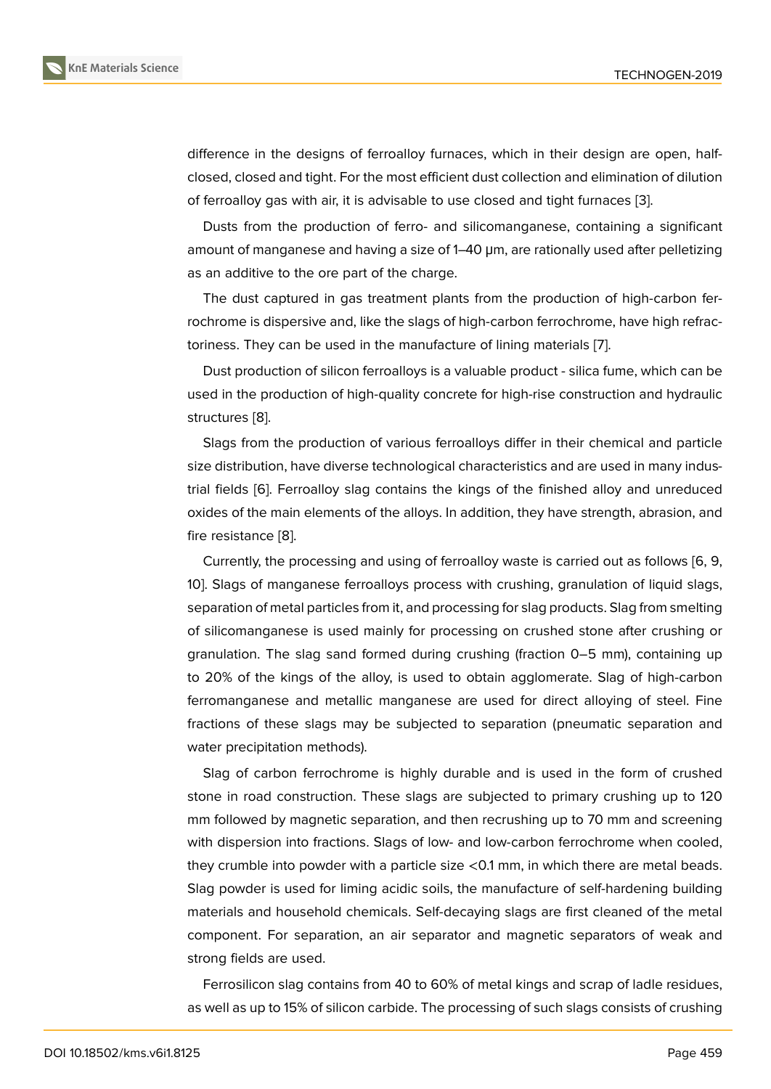difference in the designs of ferroalloy furnaces, which in their design are open, halfclosed, closed and tight. For the most efficient dust collection and elimination of dilution of ferroalloy gas with air, it is advisable to use closed and tight furnaces [3].

Dusts from the production of ferro- and silicomanganese, containing a significant amount of manganese and having a size of 1–40 μm, are rationally used after pelletizing as an additive to the ore part of the charge.

The dust captured in gas treatment plants from the production of high-carbon ferrochrome is dispersive and, like the slags of high-carbon ferrochrome, have high refractoriness. They can be used in the manufacture of lining materials [7].

Dust production of silicon ferroalloys is a valuable product - silica fume, which can be used in the production of high-quality concrete for high-rise construction and hydraulic structures [8].

Slags from the production of various ferroalloys differ in their chemical and particle size distribution, have diverse technological characteristics and are used in many industrial fields [\[6](#page-5-0)]. Ferroalloy slag contains the kings of the finished alloy and unreduced oxides of the main elements of the alloys. In addition, they have strength, abrasion, and fire resistance [8].

Currentl[y, t](#page-4-5)he processing and using of ferroalloy waste is carried out as follows [6, 9, 10]. Slags of manganese ferroalloys process with crushing, granulation of liquid slags, separation of m[et](#page-5-0)al particles from it, and processing for slag products. Slag from smelting of silicomanganese is used mainly for processing on crushed stone after crushi[ng](#page-4-5) [or](#page-5-1) [gra](#page-5-2)nulation. The slag sand formed during crushing (fraction 0–5 mm), containing up to 20% of the kings of the alloy, is used to obtain agglomerate. Slag of high-carbon ferromanganese and metallic manganese are used for direct alloying of steel. Fine fractions of these slags may be subjected to separation (pneumatic separation and water precipitation methods).

Slag of carbon ferrochrome is highly durable and is used in the form of crushed stone in road construction. These slags are subjected to primary crushing up to 120 mm followed by magnetic separation, and then recrushing up to 70 mm and screening with dispersion into fractions. Slags of low- and low-carbon ferrochrome when cooled, they crumble into powder with a particle size <0.1 mm, in which there are metal beads. Slag powder is used for liming acidic soils, the manufacture of self-hardening building materials and household chemicals. Self-decaying slags are first cleaned of the metal component. For separation, an air separator and magnetic separators of weak and strong fields are used.

Ferrosilicon slag contains from 40 to 60% of metal kings and scrap of ladle residues, as well as up to 15% of silicon carbide. The processing of such slags consists of crushing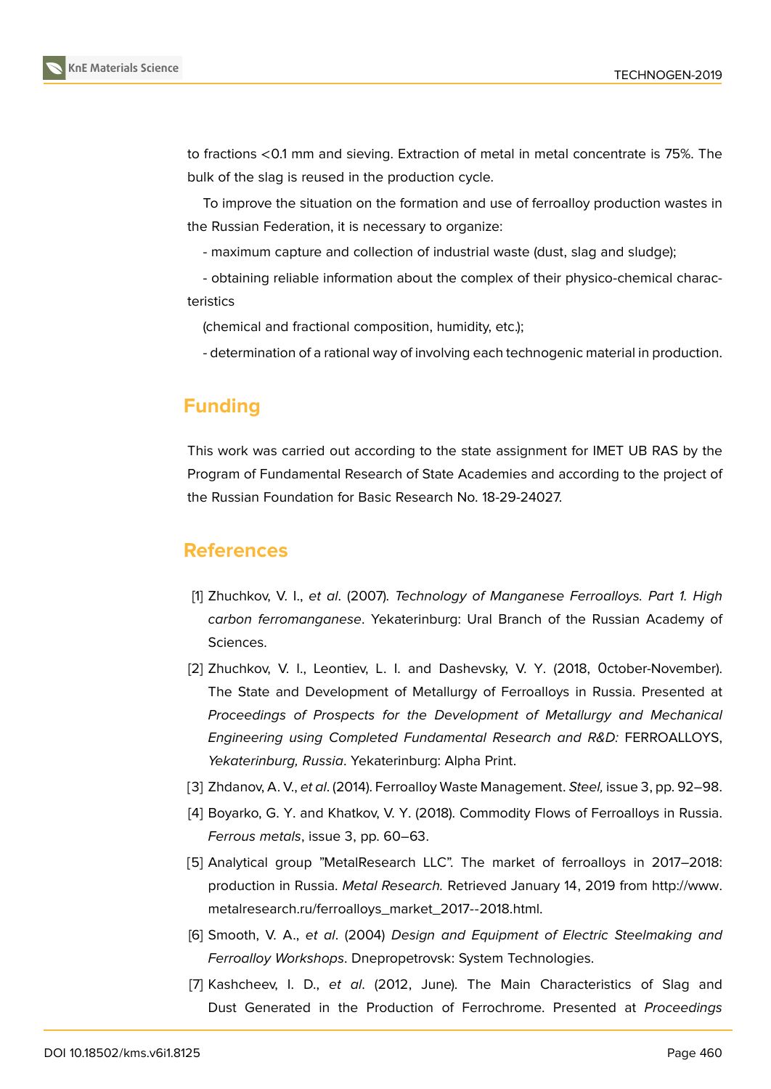to fractions <0.1 mm and sieving. Extraction of metal in metal concentrate is 75%. The bulk of the slag is reused in the production cycle.

To improve the situation on the formation and use of ferroalloy production wastes in the Russian Federation, it is necessary to organize:

- maximum capture and collection of industrial waste (dust, slag and sludge);

- obtaining reliable information about the complex of their physico-chemical characteristics

(chemical and fractional composition, humidity, etc.);

- determination of a rational way of involving each technogenic material in production.

# **Funding**

This work was carried out according to the state assignment for IMET UB RAS by the Program of Fundamental Research of State Academies and according to the project of the Russian Foundation for Basic Research No. 18-29-24027.

# **References**

- [1] Zhuchkov, V. I., *et al*. (2007). *Technology of Manganese Ferroalloys. Part 1. High carbon ferromanganese*. Yekaterinburg: Ural Branch of the Russian Academy of Sciences.
- <span id="page-4-1"></span><span id="page-4-0"></span>[2] Zhuchkov, V. I., Leontiev, L. I. and Dashevsky, V. Y. (2018, Оctober-November). The State and Development of Metallurgy of Ferroalloys in Russia. Presented at *Proceedings of Prospects for the Development of Metallurgy and Mechanical Engineering using Completed Fundamental Research and R&D:* FERROALLOYS, *Yekaterinburg, Russia*. Yekaterinburg: Alpha Print.
- [3] Zhdanov, A. V., *et al*. (2014). Ferroalloy Waste Management. *Steel,* issue 3, pp. 92–98.
- [4] Boyarko, G. Y. and Khatkov, V. Y. (2018). Commodity Flows of Ferroalloys in Russia. *Ferrous metals*, issue 3, pp. 60–63.
- <span id="page-4-3"></span><span id="page-4-2"></span>[5] Analytical group "MetalResearch LLC". The market of ferroalloys in 2017–2018: production in Russia. *Metal Research.* Retrieved January 14, 2019 from http://www. metalresearch.ru/ferroalloys\_market\_2017--2018.html.
- <span id="page-4-4"></span>[6] Smooth, V. A., *et al*. (2004) *Design and Equipment of Electric Steelmaking and Ferroalloy Workshops*. Dnepropetrovsk: System Technologies.
- <span id="page-4-5"></span>[7] Kashcheev, I. D., *et al*[. \(2012, June\). The Main C](http://www.metalresearch.ru/ferroalloys_market_2017--2018.html.)haracteristics of Slag and Dust Generated in the Production of Ferrochrome. Presented at *Proceedings*